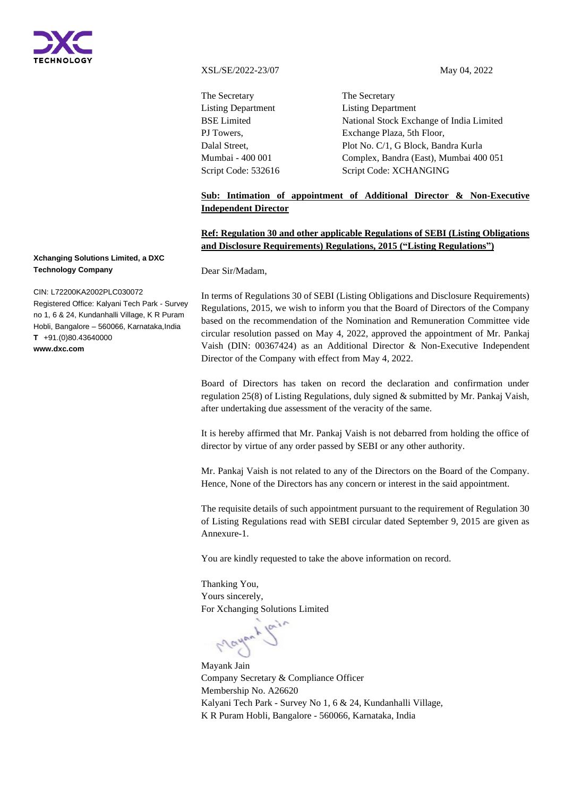

XSL/SE/2022-23/07 May 04, 2022

The Secretary Listing Department BSE Limited PJ Towers, Dalal Street, Mumbai - 400 001 Script Code: 532616

The Secretary Listing Department National Stock Exchange of India Limited Exchange Plaza, 5th Floor, Plot No. C/1, G Block, Bandra Kurla Complex, Bandra (East), Mumbai 400 051 Script Code: XCHANGING

# **Sub: Intimation of appointment of Additional Director & Non-Executive Independent Director**

# **Ref: Regulation 30 and other applicable Regulations of SEBI (Listing Obligations and Disclosure Requirements) Regulations, 2015 ("Listing Regulations")**

Dear Sir/Madam,

In terms of Regulations 30 of SEBI (Listing Obligations and Disclosure Requirements) Regulations, 2015, we wish to inform you that the Board of Directors of the Company based on the recommendation of the Nomination and Remuneration Committee vide circular resolution passed on May 4, 2022, approved the appointment of Mr. Pankaj Vaish (DIN: 00367424) as an Additional Director & Non-Executive Independent Director of the Company with effect from May 4, 2022.

Board of Directors has taken on record the declaration and confirmation under regulation 25(8) of Listing Regulations, duly signed & submitted by Mr. Pankaj Vaish, after undertaking due assessment of the veracity of the same.

It is hereby affirmed that Mr. Pankaj Vaish is not debarred from holding the office of director by virtue of any order passed by SEBI or any other authority.

Mr. Pankaj Vaish is not related to any of the Directors on the Board of the Company. Hence, None of the Directors has any concern or interest in the said appointment.

The requisite details of such appointment pursuant to the requirement of Regulation 30 of Listing Regulations read with SEBI circular dated September 9, 2015 are given as Annexure-1.

You are kindly requested to take the above information on record.

Thanking You, Yours sincerely, For Xchanging Solutions Limited

Mayon 1

Mayank Jain Company Secretary & Compliance Officer Membership No. A26620 Kalyani Tech Park - Survey No 1, 6 & 24, Kundanhalli Village, K R Puram Hobli, Bangalore - 560066, Karnataka, India

## **Xchanging Solutions Limited, a DXC Technology Company**

#### CIN: L72200KA2002PLC030072

Registered Office: Kalyani Tech Park - Survey no 1, 6 & 24, Kundanhalli Village, K R Puram Hobli, Bangalore – 560066, Karnataka,India **T** +91.(0)80.43640000 **www.dxc.com**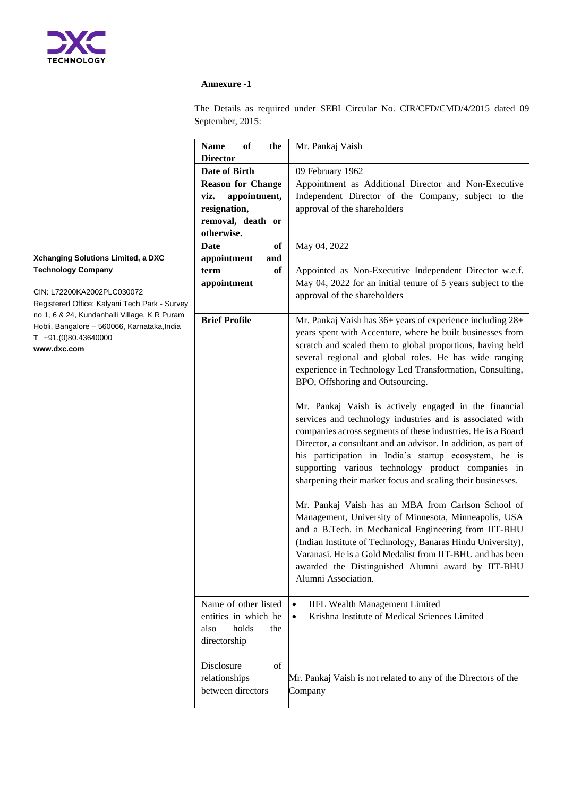

### **Annexure -1**

The Details as required under SEBI Circular No. CIR/CFD/CMD/4/2015 dated 09 September, 2015:

| <b>Name</b><br>of<br>the<br><b>Director</b>                                          | Mr. Pankaj Vaish                                                                                                                                                                                                                                                                                                                                                                                                                                                                                                                                                                                                                                                                                                                                                                                                                                      |  |  |
|--------------------------------------------------------------------------------------|-------------------------------------------------------------------------------------------------------------------------------------------------------------------------------------------------------------------------------------------------------------------------------------------------------------------------------------------------------------------------------------------------------------------------------------------------------------------------------------------------------------------------------------------------------------------------------------------------------------------------------------------------------------------------------------------------------------------------------------------------------------------------------------------------------------------------------------------------------|--|--|
| Date of Birth                                                                        | 09 February 1962                                                                                                                                                                                                                                                                                                                                                                                                                                                                                                                                                                                                                                                                                                                                                                                                                                      |  |  |
| <b>Reason for Change</b>                                                             | Appointment as Additional Director and Non-Executive                                                                                                                                                                                                                                                                                                                                                                                                                                                                                                                                                                                                                                                                                                                                                                                                  |  |  |
| appointment,<br>viz.                                                                 | Independent Director of the Company, subject to the                                                                                                                                                                                                                                                                                                                                                                                                                                                                                                                                                                                                                                                                                                                                                                                                   |  |  |
| resignation,                                                                         | approval of the shareholders                                                                                                                                                                                                                                                                                                                                                                                                                                                                                                                                                                                                                                                                                                                                                                                                                          |  |  |
| removal, death or                                                                    |                                                                                                                                                                                                                                                                                                                                                                                                                                                                                                                                                                                                                                                                                                                                                                                                                                                       |  |  |
| otherwise.                                                                           |                                                                                                                                                                                                                                                                                                                                                                                                                                                                                                                                                                                                                                                                                                                                                                                                                                                       |  |  |
| of<br>Date                                                                           | May 04, 2022                                                                                                                                                                                                                                                                                                                                                                                                                                                                                                                                                                                                                                                                                                                                                                                                                                          |  |  |
| appointment<br>and                                                                   |                                                                                                                                                                                                                                                                                                                                                                                                                                                                                                                                                                                                                                                                                                                                                                                                                                                       |  |  |
| of<br>term                                                                           | Appointed as Non-Executive Independent Director w.e.f.                                                                                                                                                                                                                                                                                                                                                                                                                                                                                                                                                                                                                                                                                                                                                                                                |  |  |
| appointment                                                                          | May 04, 2022 for an initial tenure of 5 years subject to the                                                                                                                                                                                                                                                                                                                                                                                                                                                                                                                                                                                                                                                                                                                                                                                          |  |  |
|                                                                                      | approval of the shareholders                                                                                                                                                                                                                                                                                                                                                                                                                                                                                                                                                                                                                                                                                                                                                                                                                          |  |  |
|                                                                                      |                                                                                                                                                                                                                                                                                                                                                                                                                                                                                                                                                                                                                                                                                                                                                                                                                                                       |  |  |
| <b>Brief Profile</b>                                                                 | Mr. Pankaj Vaish has 36+ years of experience including 28+<br>years spent with Accenture, where he built businesses from<br>scratch and scaled them to global proportions, having held<br>several regional and global roles. He has wide ranging<br>experience in Technology Led Transformation, Consulting,                                                                                                                                                                                                                                                                                                                                                                                                                                                                                                                                          |  |  |
|                                                                                      | BPO, Offshoring and Outsourcing.<br>Mr. Pankaj Vaish is actively engaged in the financial<br>services and technology industries and is associated with<br>companies across segments of these industries. He is a Board<br>Director, a consultant and an advisor. In addition, as part of<br>his participation in India's startup ecosystem, he is<br>supporting various technology product companies in<br>sharpening their market focus and scaling their businesses.<br>Mr. Pankaj Vaish has an MBA from Carlson School of<br>Management, University of Minnesota, Minneapolis, USA<br>and a B.Tech. in Mechanical Engineering from IIT-BHU<br>(Indian Institute of Technology, Banaras Hindu University),<br>Varanasi. He is a Gold Medalist from IIT-BHU and has been<br>awarded the Distinguished Alumni award by IIT-BHU<br>Alumni Association. |  |  |
| Name of other listed<br>entities in which he<br>also<br>holds<br>the<br>directorship | <b>IIFL Wealth Management Limited</b><br>$\bullet$<br>Krishna Institute of Medical Sciences Limited<br>$\bullet$                                                                                                                                                                                                                                                                                                                                                                                                                                                                                                                                                                                                                                                                                                                                      |  |  |
| Disclosure<br>$\sigma$ f<br>relationships<br>between directors                       | Mr. Pankaj Vaish is not related to any of the Directors of the<br>Company                                                                                                                                                                                                                                                                                                                                                                                                                                                                                                                                                                                                                                                                                                                                                                             |  |  |

## **Xchanging Solutions Limited, a DXC Technology Company**

CIN: L72200KA2002PLC030072

Registered Office: Kalyani Tech Park - Survey no 1, 6 & 24, Kundanhalli Village, K R Puram Hobli, Bangalore - 560066, Karnataka, India **T** +91.(0)80.43640000 **www.dxc.com**